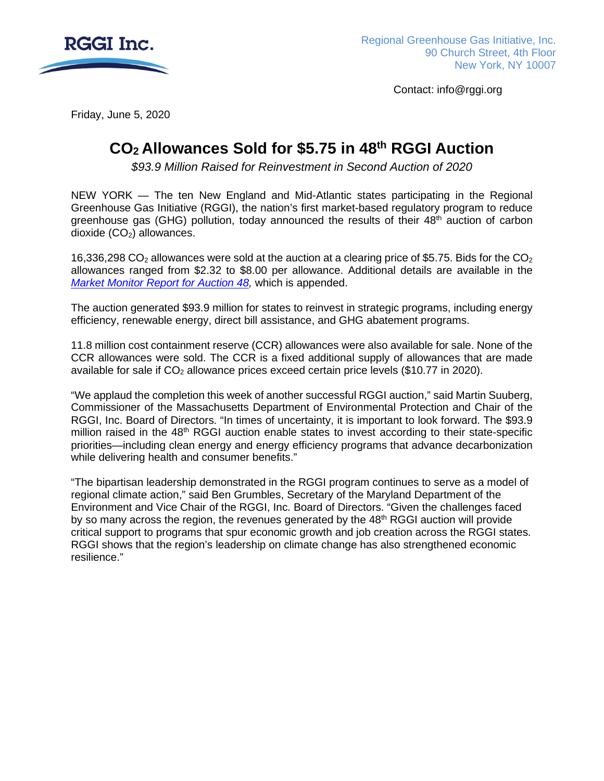

Contact: info@rggi.org

Friday, June 5, 2020

# **CO2 Allowances Sold for \$5.75 in 48th RGGI Auction**

*\$93.9 Million Raised for Reinvestment in Second Auction of 2020*

NEW YORK — The ten New England and Mid-Atlantic states participating in the Regional Greenhouse Gas Initiative (RGGI), the nation's first market-based regulatory program to reduce greenhouse gas (GHG) pollution, today announced the results of their  $48<sup>th</sup>$  auction of carbon dioxide  $(CO<sub>2</sub>)$  allowances.

16,336,298 CO<sub>2</sub> allowances were sold at the auction at a clearing price of \$5.75. Bids for the CO<sub>2</sub> allowances ranged from \$2.32 to \$8.00 per allowance. Additional details are available in the *[Market Monitor Report for Auction 48,](https://www.rggi.org/sites/default/files/Uploads/Auction-Materials/48/Auction_48_Market_Monitor_Report.pdf)* which is appended.

The auction generated \$93.9 million for states to reinvest in strategic programs, including energy efficiency, renewable energy, direct bill assistance, and GHG abatement programs.

11.8 million cost containment reserve (CCR) allowances were also available for sale. None of the CCR allowances were sold. The CCR is a fixed additional supply of allowances that are made available for sale if  $CO<sub>2</sub>$  allowance prices exceed certain price levels (\$10.77 in 2020).

"We applaud the completion this week of another successful RGGI auction," said Martin Suuberg, Commissioner of the Massachusetts Department of Environmental Protection and Chair of the RGGI, Inc. Board of Directors. "In times of uncertainty, it is important to look forward. The \$93.9 million raised in the  $48<sup>th</sup>$  RGGI auction enable states to invest according to their state-specific priorities—including clean energy and energy efficiency programs that advance decarbonization while delivering health and consumer benefits."

"The bipartisan leadership demonstrated in the RGGI program continues to serve as a model of regional climate action," said Ben Grumbles, Secretary of the Maryland Department of the Environment and Vice Chair of the RGGI, Inc. Board of Directors. "Given the challenges faced by so many across the region, the revenues generated by the  $48<sup>th</sup>$  RGGI auction will provide critical support to programs that spur economic growth and job creation across the RGGI states. RGGI shows that the region's leadership on climate change has also strengthened economic resilience."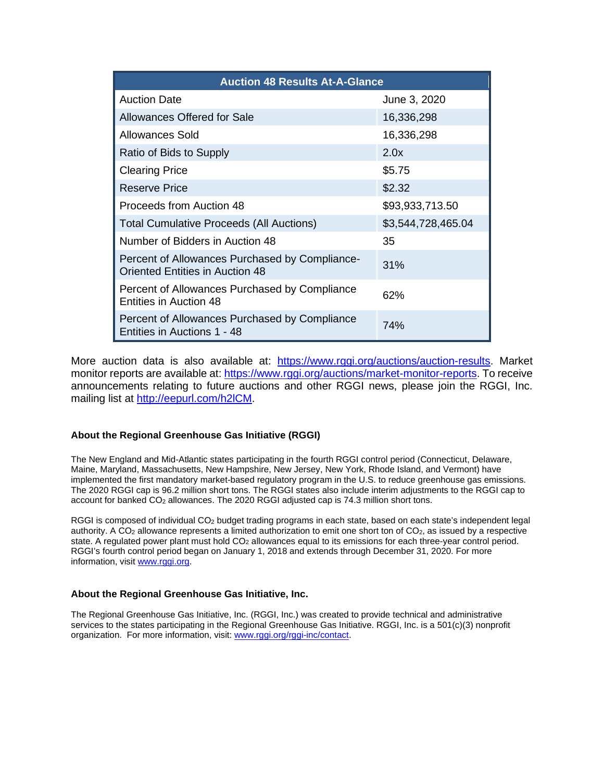| <b>Auction 48 Results At-A-Glance</b>                                                    |                    |  |
|------------------------------------------------------------------------------------------|--------------------|--|
| <b>Auction Date</b>                                                                      | June 3, 2020       |  |
| Allowances Offered for Sale                                                              | 16,336,298         |  |
| Allowances Sold                                                                          | 16,336,298         |  |
| Ratio of Bids to Supply                                                                  | 2.0x               |  |
| <b>Clearing Price</b>                                                                    | \$5.75             |  |
| Reserve Price                                                                            | \$2.32             |  |
| Proceeds from Auction 48                                                                 | \$93,933,713.50    |  |
| <b>Total Cumulative Proceeds (All Auctions)</b>                                          | \$3,544,728,465.04 |  |
| Number of Bidders in Auction 48                                                          | 35                 |  |
| Percent of Allowances Purchased by Compliance-<br><b>Oriented Entities in Auction 48</b> | 31%                |  |
| Percent of Allowances Purchased by Compliance<br>Entities in Auction 48                  | 62%                |  |
| Percent of Allowances Purchased by Compliance<br>Entities in Auctions 1 - 48             | 74%                |  |

More auction data is also available at: [https://www.rggi.org/auctions/auction-results.](https://www.rggi.org/auctions/auction-results) Market monitor reports are available at: [https://www.rggi.org/auctions/market-monitor-reports.](https://www.rggi.org/auctions/market-monitor-reports) To receive announcements relating to future auctions and other RGGI news, please join the RGGI, Inc. mailing list at [http://eepurl.com/h2lCM.](http://eepurl.com/h2lCM)

#### **About the Regional Greenhouse Gas Initiative (RGGI)**

The New England and Mid-Atlantic states participating in the fourth RGGI control period (Connecticut, Delaware, Maine, Maryland, Massachusetts, New Hampshire, New Jersey, New York, Rhode Island, and Vermont) have implemented the first mandatory market-based regulatory program in the U.S. to reduce greenhouse gas emissions. The 2020 RGGI cap is 96.2 million short tons. The RGGI states also include interim adjustments to the RGGI cap to account for banked CO<sub>2</sub> allowances. The 2020 RGGI adjusted cap is 74.3 million short tons.

RGGI is composed of individual CO2 budget trading programs in each state, based on each state's independent legal authority. A CO<sub>2</sub> allowance represents a limited authorization to emit one short ton of CO<sub>2</sub>, as issued by a respective state. A regulated power plant must hold CO<sub>2</sub> allowances equal to its emissions for each three-year control period. RGGI's fourth control period began on January 1, 2018 and extends through December 31, 2020. For more information, visi[t www.rggi.org.](https://rggi.sharepoint.com/Program/communications/StrategicCommunicationsMaterials/Press%20Releases%20and%20Statements/2020/Auction%2048/www.rggi.org)

#### **About the Regional Greenhouse Gas Initiative, Inc.**

The Regional Greenhouse Gas Initiative, Inc. (RGGI, Inc.) was created to provide technical and administrative services to the states participating in the Regional Greenhouse Gas Initiative. RGGI, Inc. is a 501(c)(3) nonprofit organization. For more information, visit[: www.rggi.org/rggi-inc/contact.](http://www.rggi.org/rggi-inc/contact)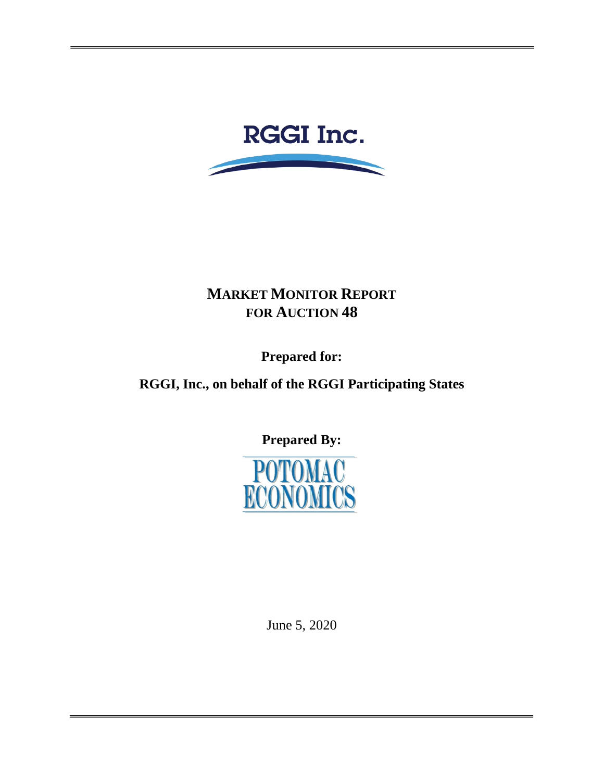

# **MARKET MONITOR REPORT FOR AUCTION 48**

**Prepared for:** 

**RGGI, Inc., on behalf of the RGGI Participating States**

**Prepared By:**



June 5, 2020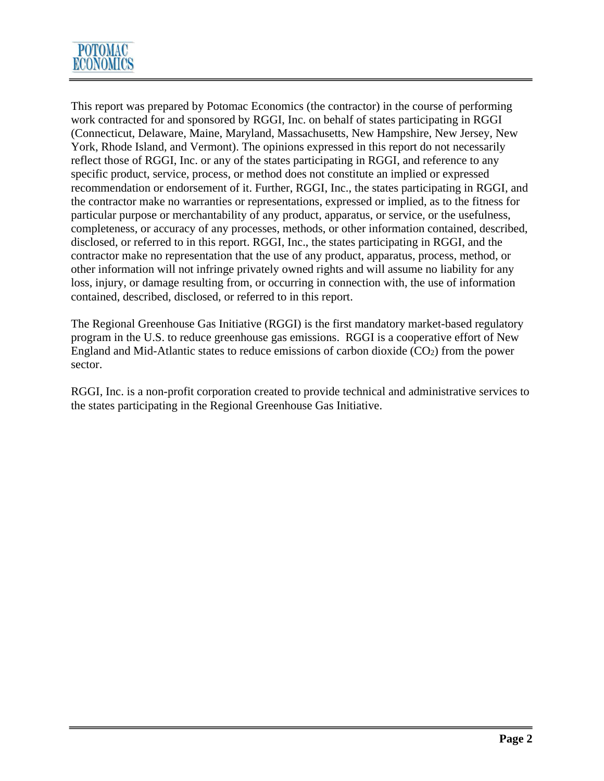

This report was prepared by Potomac Economics (the contractor) in the course of performing work contracted for and sponsored by RGGI, Inc. on behalf of states participating in RGGI (Connecticut, Delaware, Maine, Maryland, Massachusetts, New Hampshire, New Jersey, New York, Rhode Island, and Vermont). The opinions expressed in this report do not necessarily reflect those of RGGI, Inc. or any of the states participating in RGGI, and reference to any specific product, service, process, or method does not constitute an implied or expressed recommendation or endorsement of it. Further, RGGI, Inc., the states participating in RGGI, and the contractor make no warranties or representations, expressed or implied, as to the fitness for particular purpose or merchantability of any product, apparatus, or service, or the usefulness, completeness, or accuracy of any processes, methods, or other information contained, described, disclosed, or referred to in this report. RGGI, Inc., the states participating in RGGI, and the contractor make no representation that the use of any product, apparatus, process, method, or other information will not infringe privately owned rights and will assume no liability for any loss, injury, or damage resulting from, or occurring in connection with, the use of information contained, described, disclosed, or referred to in this report.

The Regional Greenhouse Gas Initiative (RGGI) is the first mandatory market-based regulatory program in the U.S. to reduce greenhouse gas emissions. RGGI is a cooperative effort of New England and Mid-Atlantic states to reduce emissions of carbon dioxide  $(CO<sub>2</sub>)$  from the power sector.

RGGI, Inc. is a non-profit corporation created to provide technical and administrative services to the states participating in the Regional Greenhouse Gas Initiative.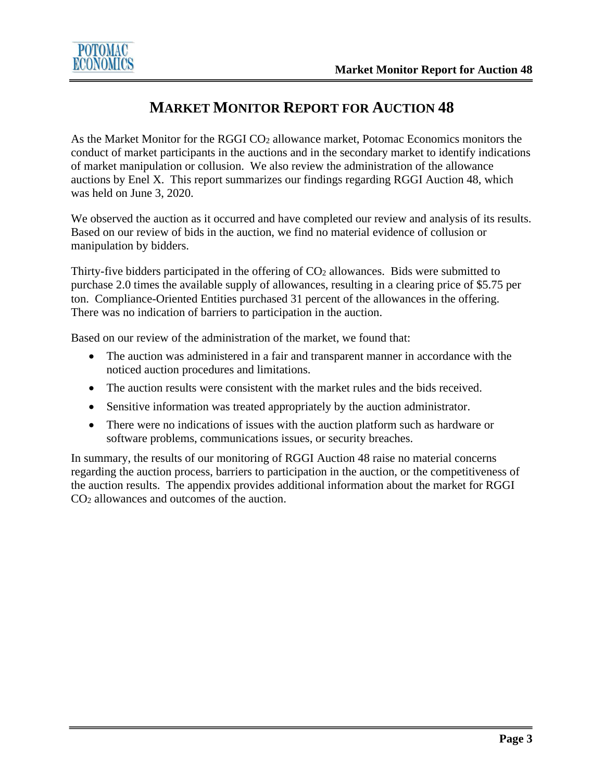

### **MARKET MONITOR REPORT FOR AUCTION 48**

As the Market Monitor for the RGGI CO<sub>2</sub> allowance market, Potomac Economics monitors the conduct of market participants in the auctions and in the secondary market to identify indications of market manipulation or collusion. We also review the administration of the allowance auctions by Enel X. This report summarizes our findings regarding RGGI Auction 48, which was held on June 3, 2020.

We observed the auction as it occurred and have completed our review and analysis of its results. Based on our review of bids in the auction, we find no material evidence of collusion or manipulation by bidders.

Thirty-five bidders participated in the offering of  $CO<sub>2</sub>$  allowances. Bids were submitted to purchase 2.0 times the available supply of allowances, resulting in a clearing price of \$5.75 per ton. Compliance-Oriented Entities purchased 31 percent of the allowances in the offering. There was no indication of barriers to participation in the auction.

Based on our review of the administration of the market, we found that:

- The auction was administered in a fair and transparent manner in accordance with the noticed auction procedures and limitations.
- The auction results were consistent with the market rules and the bids received.
- Sensitive information was treated appropriately by the auction administrator.
- There were no indications of issues with the auction platform such as hardware or software problems, communications issues, or security breaches.

In summary, the results of our monitoring of RGGI Auction 48 raise no material concerns regarding the auction process, barriers to participation in the auction, or the competitiveness of the auction results. The appendix provides additional information about the market for RGGI CO<sub>2</sub> allowances and outcomes of the auction.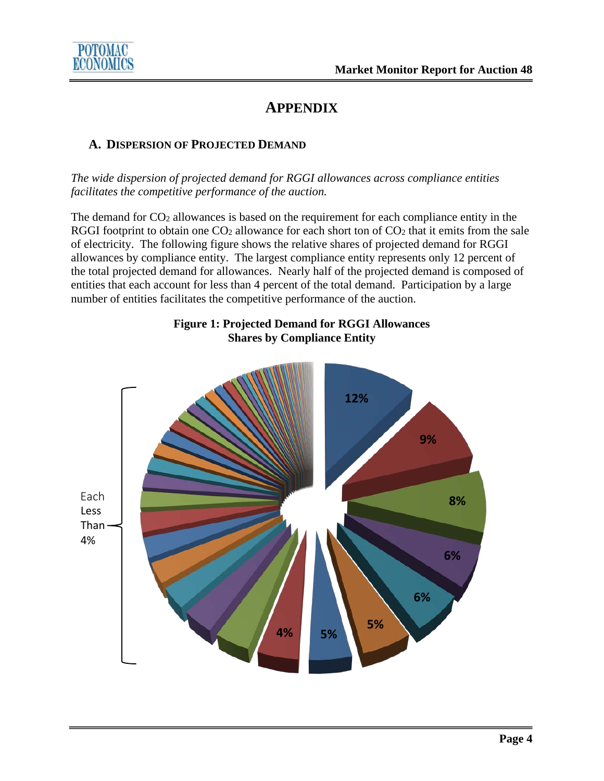

## **APPENDIX**

#### **A. DISPERSION OF PROJECTED DEMAND**

*The wide dispersion of projected demand for RGGI allowances across compliance entities facilitates the competitive performance of the auction.*

The demand for  $CO<sub>2</sub>$  allowances is based on the requirement for each compliance entity in the RGGI footprint to obtain one  $CO<sub>2</sub>$  allowance for each short ton of  $CO<sub>2</sub>$  that it emits from the sale of electricity. The following figure shows the relative shares of projected demand for RGGI allowances by compliance entity. The largest compliance entity represents only 12 percent of the total projected demand for allowances. Nearly half of the projected demand is composed of entities that each account for less than 4 percent of the total demand. Participation by a large number of entities facilitates the competitive performance of the auction.



### **Figure 1: Projected Demand for RGGI Allowances Shares by Compliance Entity**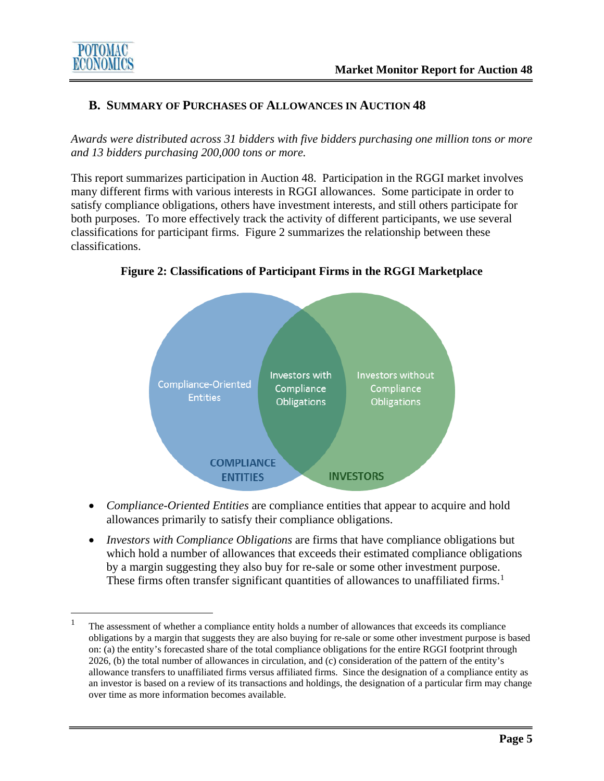

### **B. SUMMARY OF PURCHASES OF ALLOWANCES IN AUCTION 48**

*Awards were distributed across 31 bidders with five bidders purchasing one million tons or more and 13 bidders purchasing 200,000 tons or more.*

This report summarizes participation in Auction 48. Participation in the RGGI market involves many different firms with various interests in RGGI allowances. Some participate in order to satisfy compliance obligations, others have investment interests, and still others participate for both purposes. To more effectively track the activity of different participants, we use several classifications for participant firms. Figure 2 summarizes the relationship between these classifications.



**Figure 2: Classifications of Participant Firms in the RGGI Marketplace**

- *Compliance-Oriented Entities* are compliance entities that appear to acquire and hold allowances primarily to satisfy their compliance obligations.
- *Investors with Compliance Obligations* are firms that have compliance obligations but which hold a number of allowances that exceeds their estimated compliance obligations by a margin suggesting they also buy for re-sale or some other investment purpose. These firms often transfer significant quantities of allowances to unaffiliated firms.<sup>[1](#page-6-0)</sup>

<span id="page-6-0"></span><sup>1</sup> The assessment of whether a compliance entity holds a number of allowances that exceeds its compliance obligations by a margin that suggests they are also buying for re-sale or some other investment purpose is based on: (a) the entity's forecasted share of the total compliance obligations for the entire RGGI footprint through 2026, (b) the total number of allowances in circulation, and (c) consideration of the pattern of the entity's allowance transfers to unaffiliated firms versus affiliated firms. Since the designation of a compliance entity as an investor is based on a review of its transactions and holdings, the designation of a particular firm may change over time as more information becomes available.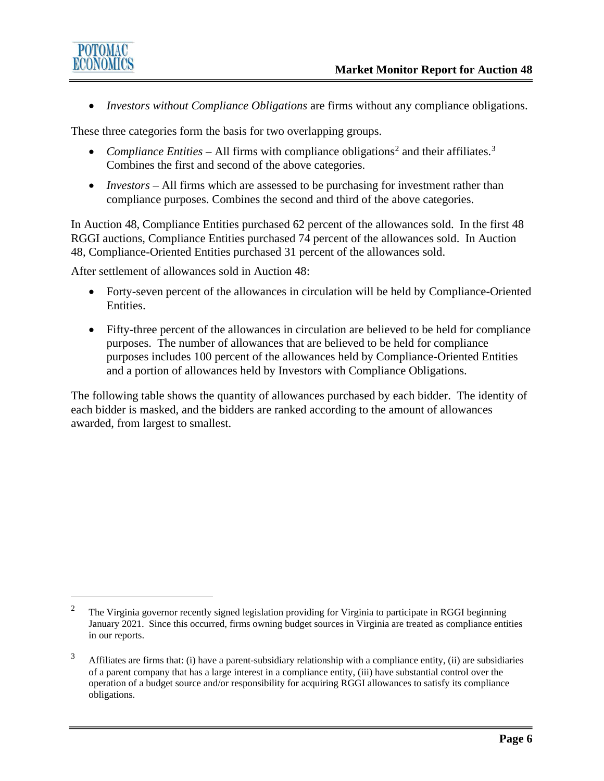

• *Investors without Compliance Obligations* are firms without any compliance obligations.

These three categories form the basis for two overlapping groups.

- *Compliance Entities* All firms with compliance obligations<sup>[2](#page-7-0)</sup> and their affiliates.<sup>[3](#page-7-1)</sup> Combines the first and second of the above categories.
- *Investors* All firms which are assessed to be purchasing for investment rather than compliance purposes. Combines the second and third of the above categories.

In Auction 48, Compliance Entities purchased 62 percent of the allowances sold. In the first 48 RGGI auctions, Compliance Entities purchased 74 percent of the allowances sold. In Auction 48, Compliance-Oriented Entities purchased 31 percent of the allowances sold.

After settlement of allowances sold in Auction 48:

- Forty-seven percent of the allowances in circulation will be held by Compliance-Oriented Entities.
- Fifty-three percent of the allowances in circulation are believed to be held for compliance purposes. The number of allowances that are believed to be held for compliance purposes includes 100 percent of the allowances held by Compliance-Oriented Entities and a portion of allowances held by Investors with Compliance Obligations.

The following table shows the quantity of allowances purchased by each bidder. The identity of each bidder is masked, and the bidders are ranked according to the amount of allowances awarded, from largest to smallest.

<span id="page-7-0"></span><sup>&</sup>lt;sup>2</sup> The Virginia governor recently signed legislation providing for Virginia to participate in RGGI beginning January 2021. Since this occurred, firms owning budget sources in Virginia are treated as compliance entities in our reports.

<span id="page-7-1"></span> $3$  Affiliates are firms that: (i) have a parent-subsidiary relationship with a compliance entity, (ii) are subsidiaries of a parent company that has a large interest in a compliance entity, (iii) have substantial control over the operation of a budget source and/or responsibility for acquiring RGGI allowances to satisfy its compliance obligations.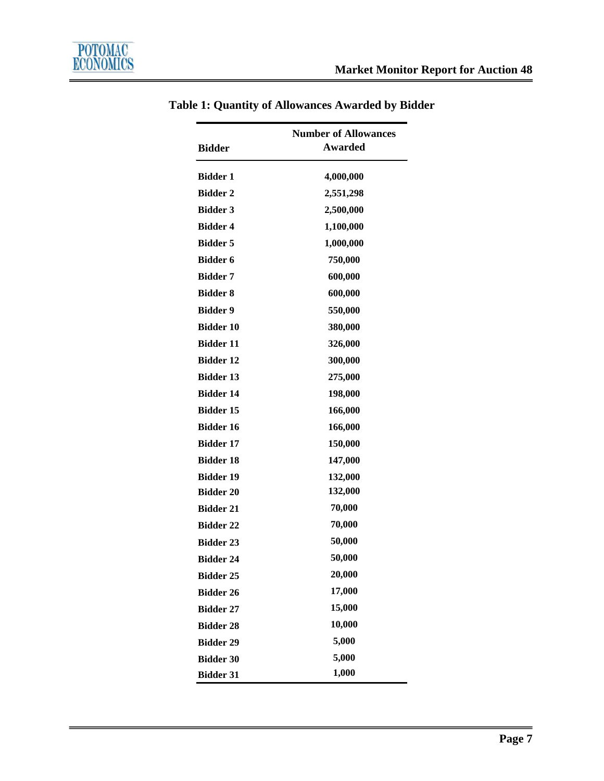| <b>Number of Allowances</b> |                |
|-----------------------------|----------------|
| <b>Bidder</b>               | <b>Awarded</b> |
| <b>Bidder 1</b>             | 4,000,000      |
| <b>Bidder 2</b>             | 2,551,298      |
| <b>Bidder 3</b>             | 2,500,000      |
| <b>Bidder 4</b>             | 1,100,000      |
| <b>Bidder 5</b>             | 1,000,000      |
| <b>Bidder 6</b>             | 750,000        |
| <b>Bidder 7</b>             | 600,000        |
| <b>Bidder 8</b>             | 600,000        |
| <b>Bidder 9</b>             | 550,000        |
| <b>Bidder 10</b>            | 380,000        |
| <b>Bidder 11</b>            | 326,000        |
| <b>Bidder 12</b>            | 300,000        |
| <b>Bidder 13</b>            | 275,000        |
| <b>Bidder 14</b>            | 198,000        |
| <b>Bidder 15</b>            | 166,000        |
| <b>Bidder 16</b>            | 166,000        |
| <b>Bidder 17</b>            | 150,000        |
| <b>Bidder 18</b>            | 147,000        |
| <b>Bidder 19</b>            | 132,000        |
| <b>Bidder 20</b>            | 132,000        |
| <b>Bidder 21</b>            | 70,000         |
| <b>Bidder 22</b>            | 70,000         |
| <b>Bidder 23</b>            | 50,000         |
| <b>Bidder 24</b>            | 50,000         |
| <b>Bidder 25</b>            | 20,000         |
| <b>Bidder 26</b>            | 17,000         |
| <b>Bidder 27</b>            | 15,000         |
| <b>Bidder 28</b>            | 10,000         |
| <b>Bidder 29</b>            | 5,000          |
| <b>Bidder 30</b>            | 5,000          |
| <b>Bidder 31</b>            | 1,000          |

## **Table 1: Quantity of Allowances Awarded by Bidder**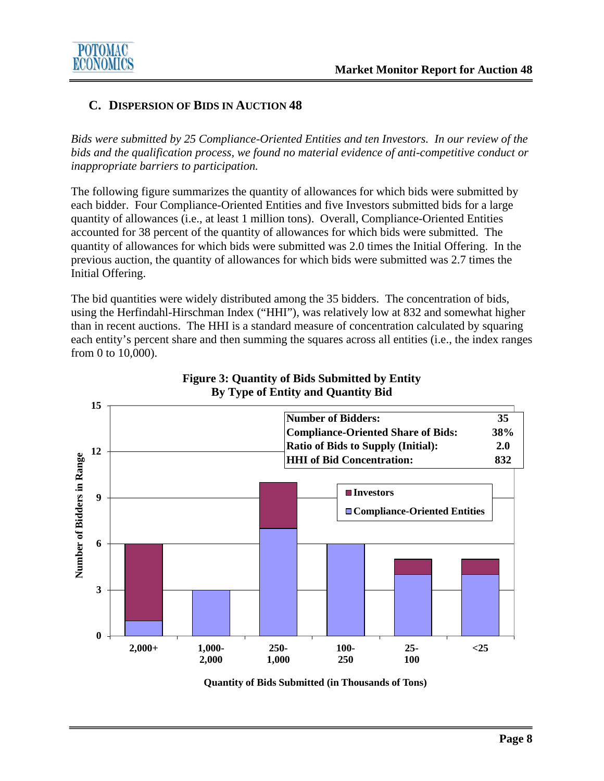

#### **C. DISPERSION OF BIDS IN AUCTION 48**

*Bids were submitted by 25 Compliance-Oriented Entities and ten Investors. In our review of the bids and the qualification process, we found no material evidence of anti-competitive conduct or inappropriate barriers to participation.*

The following figure summarizes the quantity of allowances for which bids were submitted by each bidder. Four Compliance-Oriented Entities and five Investors submitted bids for a large quantity of allowances (i.e., at least 1 million tons). Overall, Compliance-Oriented Entities accounted for 38 percent of the quantity of allowances for which bids were submitted. The quantity of allowances for which bids were submitted was 2.0 times the Initial Offering. In the previous auction, the quantity of allowances for which bids were submitted was 2.7 times the Initial Offering.

The bid quantities were widely distributed among the 35 bidders. The concentration of bids, using the Herfindahl-Hirschman Index ("HHI"), was relatively low at 832 and somewhat higher than in recent auctions. The HHI is a standard measure of concentration calculated by squaring each entity's percent share and then summing the squares across all entities (i.e., the index ranges from 0 to 10,000).



#### **Figure 3: Quantity of Bids Submitted by Entity By Type of Entity and Quantity Bid**

**Quantity of Bids Submitted (in Thousands of Tons)**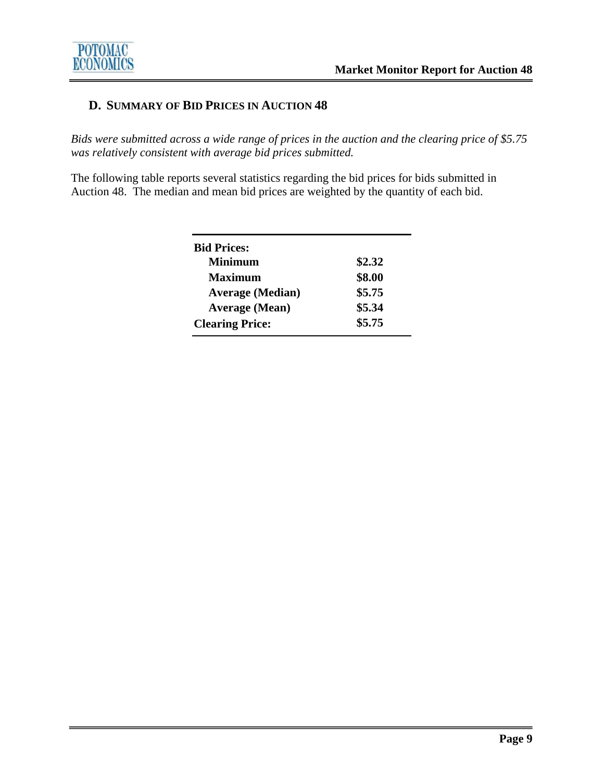### **D. SUMMARY OF BID PRICES IN AUCTION 48**

*Bids were submitted across a wide range of prices in the auction and the clearing price of \$5.75 was relatively consistent with average bid prices submitted.* 

The following table reports several statistics regarding the bid prices for bids submitted in Auction 48. The median and mean bid prices are weighted by the quantity of each bid.

| <b>Bid Prices:</b>      |        |
|-------------------------|--------|
| Minimum                 | \$2.32 |
| <b>Maximum</b>          | \$8.00 |
| <b>Average (Median)</b> | \$5.75 |
| <b>Average (Mean)</b>   | \$5.34 |
| <b>Clearing Price:</b>  | \$5.75 |